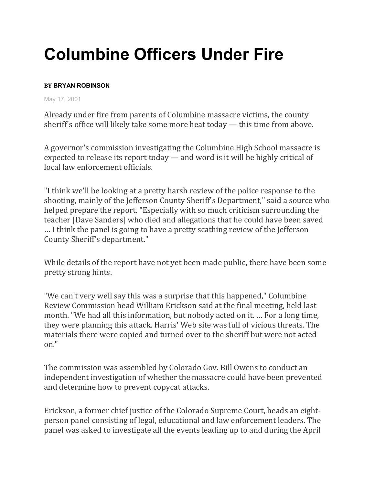## **Columbine Officers Under Fire**

## **BY BRYAN ROBINSON**

May 17, 2001

Already under fire from parents of Columbine massacre victims, the county sheriff's office will likely take some more heat today — this time from above.

A governor's commission investigating the Columbine High School massacre is expected to release its report today — and word is it will be highly critical of local law enforcement officials.

"I think we'll be looking at a pretty harsh review of the police response to the shooting, mainly of the Jefferson County Sheriff's Department," said a source who helped prepare the report. "Especially with so much criticism surrounding the teacher [Dave Sanders] who died and allegations that he could have been saved … I think the panel is going to have a pretty scathing review of the Jefferson County Sheriff's department."

While details of the report have not yet been made public, there have been some pretty strong hints.

"We can't very well say this was a surprise that this happened," Columbine Review Commission head William Erickson said at the final meeting, held last month. "We had all this information, but nobody acted on it. … For a long time, they were planning this attack. Harris' Web site was full of vicious threats. The materials there were copied and turned over to the sheriff but were not acted on."

The commission was assembled by Colorado Gov. Bill Owens to conduct an independent investigation of whether the massacre could have been prevented and determine how to prevent copycat attacks.

Erickson, a former chief justice of the Colorado Supreme Court, heads an eightperson panel consisting of legal, educational and law enforcement leaders. The panel was asked to investigate all the events leading up to and during the April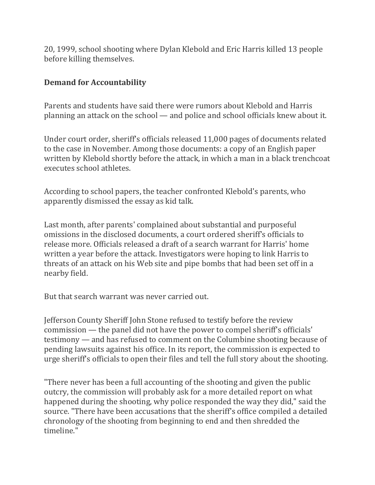20, 1999, school shooting where Dylan Klebold and Eric Harris killed 13 people before killing themselves.

## **Demand for Accountability**

Parents and students have said there were rumors about Klebold and Harris planning an attack on the school — and police and school officials knew about it.

Under court order, sheriff's officials released 11,000 pages of documents related to the case in November. Among those documents: a copy of an English paper written by Klebold shortly before the attack, in which a man in a black trenchcoat executes school athletes.

According to school papers, the teacher confronted Klebold's parents, who apparently dismissed the essay as kid talk.

Last month, after parents' complained about substantial and purposeful omissions in the disclosed documents, a court ordered sheriff's officials to release more. Officials released a draft of a search warrant for Harris' home written a year before the attack. Investigators were hoping to link Harris to threats of an attack on his Web site and pipe bombs that had been set off in a nearby field.

But that search warrant was never carried out.

Jefferson County Sheriff John Stone refused to testify before the review commission — the panel did not have the power to compel sheriff's officials' testimony — and has refused to comment on the Columbine shooting because of pending lawsuits against his office. In its report, the commission is expected to urge sheriff's officials to open their files and tell the full story about the shooting.

"There never has been a full accounting of the shooting and given the public outcry, the commission will probably ask for a more detailed report on what happened during the shooting, why police responded the way they did," said the source. "There have been accusations that the sheriff's office compiled a detailed chronology of the shooting from beginning to end and then shredded the timeline."